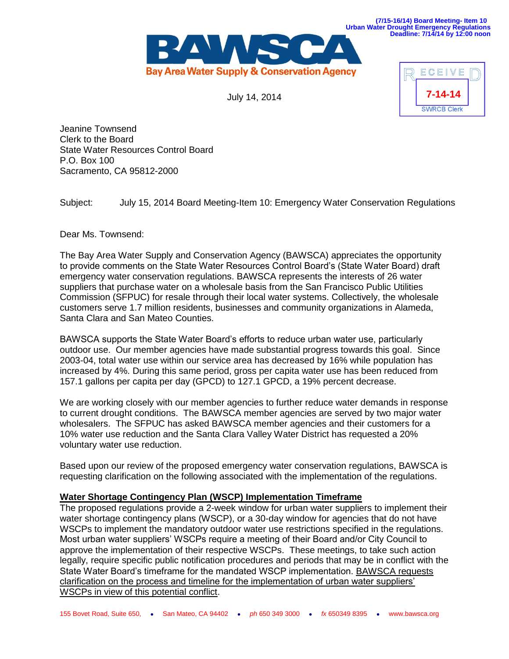

July 14, 2014



**Deadline: 7/14/14 by 12:00 noon**

Jeanine Townsend Clerk to the Board State Water Resources Control Board P.O. Box 100 Sacramento, CA 95812-2000

Subject: July 15, 2014 Board Meeting-Item 10: Emergency Water Conservation Regulations

Dear Ms. Townsend:

The Bay Area Water Supply and Conservation Agency (BAWSCA) appreciates the opportunity to provide comments on the State Water Resources Control Board's (State Water Board) draft emergency water conservation regulations. BAWSCA represents the interests of 26 water suppliers that purchase water on a wholesale basis from the San Francisco Public Utilities Commission (SFPUC) for resale through their local water systems. Collectively, the wholesale customers serve 1.7 million residents, businesses and community organizations in Alameda, Santa Clara and San Mateo Counties.

BAWSCA supports the State Water Board's efforts to reduce urban water use, particularly outdoor use. Our member agencies have made substantial progress towards this goal. Since 2003-04, total water use within our service area has decreased by 16% while population has increased by 4%. During this same period, gross per capita water use has been reduced from 157.1 gallons per capita per day (GPCD) to 127.1 GPCD, a 19% percent decrease.

We are working closely with our member agencies to further reduce water demands in response to current drought conditions. The BAWSCA member agencies are served by two major water wholesalers. The SFPUC has asked BAWSCA member agencies and their customers for a 10% water use reduction and the Santa Clara Valley Water District has requested a 20% voluntary water use reduction.

Based upon our review of the proposed emergency water conservation regulations, BAWSCA is requesting clarification on the following associated with the implementation of the regulations.

## **Water Shortage Contingency Plan (WSCP) Implementation Timeframe**

The proposed regulations provide a 2-week window for urban water suppliers to implement their water shortage contingency plans (WSCP), or a 30-day window for agencies that do not have WSCPs to implement the mandatory outdoor water use restrictions specified in the regulations. Most urban water suppliers' WSCPs require a meeting of their Board and/or City Council to approve the implementation of their respective WSCPs. These meetings, to take such action legally, require specific public notification procedures and periods that may be in conflict with the State Water Board's timeframe for the mandated WSCP implementation. BAWSCA requests clarification on the process and timeline for the implementation of urban water suppliers' WSCPs in view of this potential conflict.